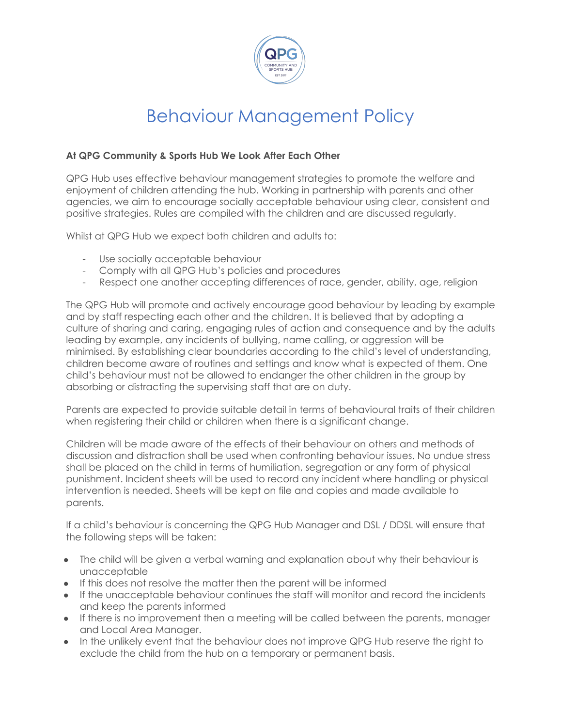

## Behaviour Management Policy

## **At QPG Community & Sports Hub We Look After Each Other**

QPG Hub uses effective behaviour management strategies to promote the welfare and enjoyment of children attending the hub. Working in partnership with parents and other agencies, we aim to encourage socially acceptable behaviour using clear, consistent and positive strategies. Rules are compiled with the children and are discussed regularly.

Whilst at QPG Hub we expect both children and adults to:

- Use socially acceptable behaviour
- Comply with all QPG Hub's policies and procedures
- Respect one another accepting differences of race, gender, ability, age, religion

The QPG Hub will promote and actively encourage good behaviour by leading by example and by staff respecting each other and the children. It is believed that by adopting a culture of sharing and caring, engaging rules of action and consequence and by the adults leading by example, any incidents of bullying, name calling, or aggression will be minimised. By establishing clear boundaries according to the child's level of understanding, children become aware of routines and settings and know what is expected of them. One child's behaviour must not be allowed to endanger the other children in the group by absorbing or distracting the supervising staff that are on duty.

Parents are expected to provide suitable detail in terms of behavioural traits of their children when registering their child or children when there is a significant change.

Children will be made aware of the effects of their behaviour on others and methods of discussion and distraction shall be used when confronting behaviour issues. No undue stress shall be placed on the child in terms of humiliation, segregation or any form of physical punishment. Incident sheets will be used to record any incident where handling or physical intervention is needed. Sheets will be kept on file and copies and made available to parents.

If a child's behaviour is concerning the QPG Hub Manager and DSL / DDSL will ensure that the following steps will be taken:

- The child will be given a verbal warning and explanation about why their behaviour is unacceptable
- If this does not resolve the matter then the parent will be informed
- If the unacceptable behaviour continues the staff will monitor and record the incidents and keep the parents informed
- If there is no improvement then a meeting will be called between the parents, manager and Local Area Manager.
- In the unlikely event that the behaviour does not improve QPG Hub reserve the right to exclude the child from the hub on a temporary or permanent basis.